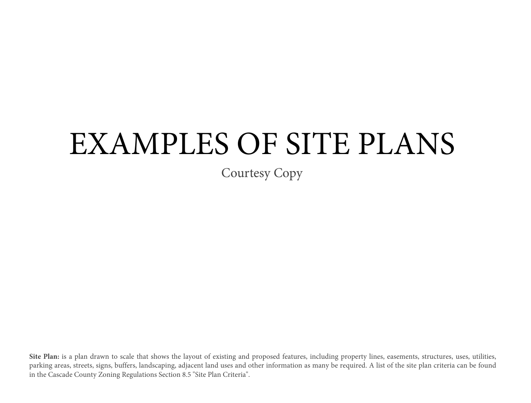## EXAMPLES OF SITE PLANS

Courtesy Copy

Site Plan: is a plan drawn to scale that shows the layout of existing and proposed features, including property lines, easements, structures, uses, utilities, parking areas, streets, signs, buffers, landscaping, adjacent land uses and other information as many be required. A list of the site plan criteria can be found in the Cascade County Zoning Regulations Section 8.5 "Site Plan Criteria".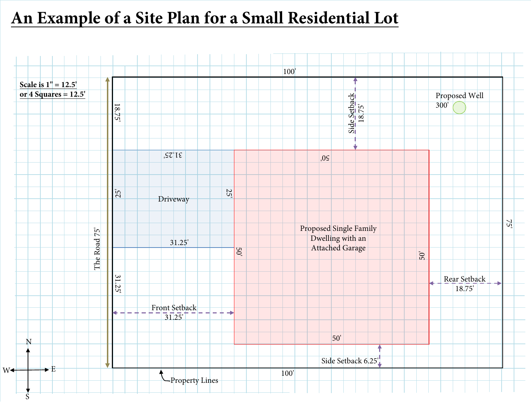## **An Example of a Site Plan for a Small Residential Lot**

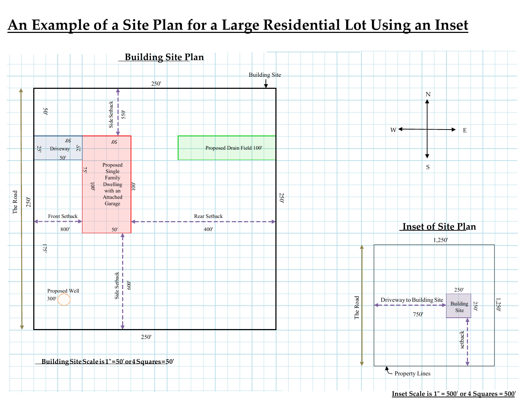## **An Example of a Site Plan for a Large Residential Lot Using an Inset**